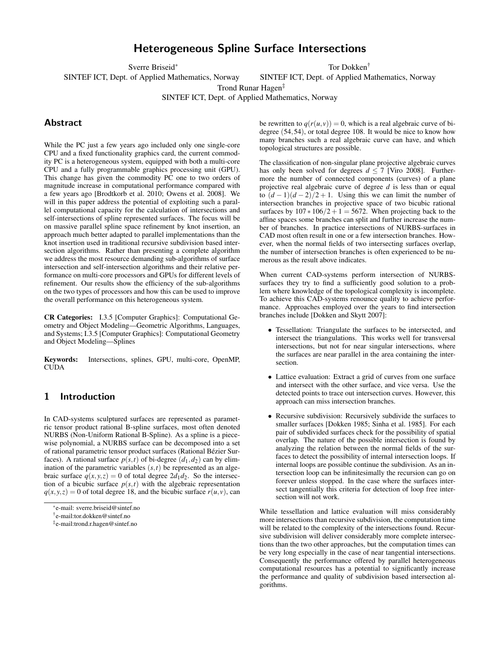# Heterogeneous Spline Surface Intersections

Sverre Briseid<sup>∗</sup>

SINTEF ICT, Dept. of Applied Mathematics, Norway

Tor Dokken†

SINTEF ICT, Dept. of Applied Mathematics, Norway

Trond Runar Hagen‡

SINTEF ICT, Dept. of Applied Mathematics, Norway

### **Abstract**

While the PC just a few years ago included only one single-core CPU and a fixed functionality graphics card, the current commodity PC is a heterogeneous system, equipped with both a multi-core CPU and a fully programmable graphics processing unit (GPU). This change has given the commodity PC one to two orders of magnitude increase in computational performance compared with a few years ago [Brodtkorb et al. 2010; Owens et al. 2008]. We will in this paper address the potential of exploiting such a parallel computational capacity for the calculation of intersections and self-intersections of spline represented surfaces. The focus will be on massive parallel spline space refinement by knot insertion, an approach much better adapted to parallel implementations than the knot insertion used in traditional recursive subdivision based intersection algorithms. Rather than presenting a complete algorithm we address the most resource demanding sub-algorithms of surface intersection and self-intersection algorithms and their relative performance on multi-core processors and GPUs for different levels of refinement. Our results show the efficiency of the sub-algorithms on the two types of processors and how this can be used to improve the overall performance on this heterogeneous system.

CR Categories: I.3.5 [Computer Graphics]: Computational Geometry and Object Modeling—Geometric Algorithms, Languages, and Systems; I.3.5 [Computer Graphics]: Computational Geometry and Object Modeling—Splines

Keywords: Intersections, splines, GPU, multi-core, OpenMP, CUDA

### 1 Introduction

In CAD-systems sculptured surfaces are represented as parametric tensor product rational B-spline surfaces, most often denoted NURBS (Non-Uniform Rational B-Spline). As a spline is a piecewise polynomial, a NURBS surface can be decomposed into a set of rational parametric tensor product surfaces (Rational Bézier Surfaces). A rational surface  $p(s,t)$  of bi-degree  $(d_1, d_2)$  can by elimination of the parametric variables  $(s,t)$  be represented as an algebraic surface  $q(x, y, z) = 0$  of total degree  $2d_1d_2$ . So the intersection of a bicubic surface  $p(s,t)$  with the algebraic representation  $q(x, y, z) = 0$  of total degree 18, and the bicubic surface  $r(u, v)$ , can be rewritten to  $q(r(u, v)) = 0$ , which is a real algebraic curve of bidegree (54,54), or total degree 108. It would be nice to know how many branches such a real algebraic curve can have, and which topological structures are possible.

The classification of non-singular plane projective algebraic curves has only been solved for degrees  $d \le 7$  [Viro 2008]. Furthermore the number of connected components (curves) of a plane projective real algebraic curve of degree *d* is less than or equal to  $(d-1)(d-2)/2+1$ . Using this we can limit the number of intersection branches in projective space of two bicubic rational surfaces by  $107 * 106/2 + 1 = 5672$ . When projecting back to the affine spaces some branches can split and further increase the number of branches. In practice intersections of NURBS-surfaces in CAD most often result in one or a few intersection branches. However, when the normal fields of two intersecting surfaces overlap, the number of intersection branches is often experienced to be numerous as the result above indicates.

When current CAD-systems perform intersection of NURBSsurfaces they try to find a sufficiently good solution to a problem where knowledge of the topological complexity is incomplete. To achieve this CAD-systems renounce quality to achieve performance. Approaches employed over the years to find intersection branches include [Dokken and Skytt 2007]:

- Tessellation: Triangulate the surfaces to be intersected, and intersect the triangulations. This works well for transversal intersections, but not for near singular intersections, where the surfaces are near parallel in the area containing the intersection.
- Lattice evaluation: Extract a grid of curves from one surface and intersect with the other surface, and vice versa. Use the detected points to trace out intersection curves. However, this approach can miss intersection branches.
- Recursive subdivision: Recursively subdivide the surfaces to smaller surfaces [Dokken 1985; Sinha et al. 1985]. For each pair of subdivided surfaces check for the possibility of spatial overlap. The nature of the possible intersection is found by analyzing the relation between the normal fields of the surfaces to detect the possibility of internal intersection loops. If internal loops are possible continue the subdivision. As an intersection loop can be infinitesimally the recursion can go on forever unless stopped. In the case where the surfaces intersect tangentially this criteria for detection of loop free intersection will not work.

While tessellation and lattice evaluation will miss considerably more intersections than recursive subdivision, the computation time will be related to the complexity of the intersections found. Recursive subdivision will deliver considerably more complete intersections than the two other approaches, but the computation times can be very long especially in the case of near tangential intersections. Consequently the performance offered by parallel heterogeneous computational resources has a potential to significantly increase the performance and quality of subdivision based intersection algorithms.

<sup>∗</sup> e-mail: sverre.briseid@sintef.no

<sup>†</sup> e-mail:tor.dokken@sintef.no

<sup>‡</sup> e-mail:trond.r.hagen@sintef.no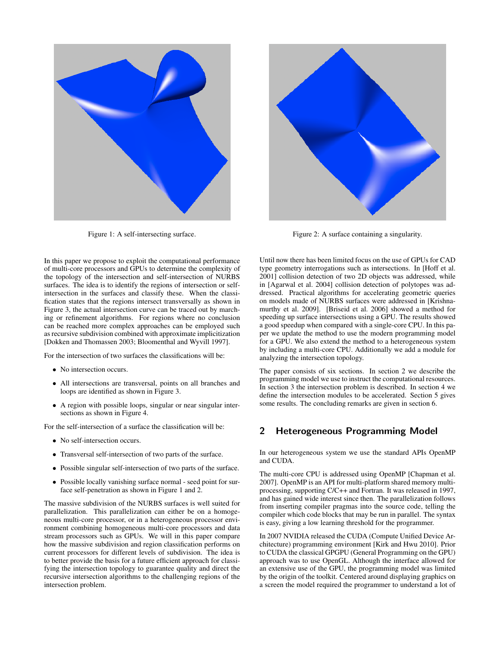

Figure 1: A self-intersecting surface.



Figure 2: A surface containing a singularity.

In this paper we propose to exploit the computational performance of multi-core processors and GPUs to determine the complexity of the topology of the intersection and self-intersection of NURBS surfaces. The idea is to identify the regions of intersection or selfintersection in the surfaces and classify these. When the classification states that the regions intersect transversally as shown in Figure 3, the actual intersection curve can be traced out by marching or refinement algorithms. For regions where no conclusion can be reached more complex approaches can be employed such as recursive subdivision combined with approximate implicitization [Dokken and Thomassen 2003; Bloomenthal and Wyvill 1997].

For the intersection of two surfaces the classifications will be:

- No intersection occurs.
- All intersections are transversal, points on all branches and loops are identified as shown in Figure 3.
- A region with possible loops, singular or near singular intersections as shown in Figure 4.

For the self-intersection of a surface the classification will be:

- No self-intersection occurs.
- Transversal self-intersection of two parts of the surface.
- Possible singular self-intersection of two parts of the surface.
- Possible locally vanishing surface normal seed point for surface self-penetration as shown in Figure 1 and 2.

The massive subdivision of the NURBS surfaces is well suited for parallelization. This parallelization can either be on a homogeneous multi-core processor, or in a heterogeneous processor environment combining homogeneous multi-core processors and data stream processors such as GPUs. We will in this paper compare how the massive subdivision and region classification performs on current processors for different levels of subdivision. The idea is to better provide the basis for a future efficient approach for classifying the intersection topology to guarantee quality and direct the recursive intersection algorithms to the challenging regions of the intersection problem.

Until now there has been limited focus on the use of GPUs for CAD type geometry interrogations such as intersections. In [Hoff et al. 2001] collision detection of two 2D objects was addressed, while in [Agarwal et al. 2004] collision detection of polytopes was addressed. Practical algorithms for accelerating geometric queries on models made of NURBS surfaces were addressed in [Krishnamurthy et al. 2009]. [Briseid et al. 2006] showed a method for speeding up surface intersections using a GPU. The results showed a good speedup when compared with a single-core CPU. In this paper we update the method to use the modern programming model for a GPU. We also extend the method to a heterogeneous system by including a multi-core CPU. Additionally we add a module for analyzing the intersection topology.

The paper consists of six sections. In section 2 we describe the programming model we use to instruct the computational resources. In section 3 the intersection problem is described. In section 4 we define the intersection modules to be accelerated. Section 5 gives some results. The concluding remarks are given in section 6.

# 2 Heterogeneous Programming Model

In our heterogeneous system we use the standard APIs OpenMP and CUDA.

The multi-core CPU is addressed using OpenMP [Chapman et al. 2007]. OpenMP is an API for multi-platform shared memory multiprocessing, supporting C/C++ and Fortran. It was released in 1997, and has gained wide interest since then. The parallelization follows from inserting compiler pragmas into the source code, telling the compiler which code blocks that may be run in parallel. The syntax is easy, giving a low learning threshold for the programmer.

In 2007 NVIDIA released the CUDA (Compute Unified Device Architecture) programming environment [Kirk and Hwu 2010]. Prior to CUDA the classical GPGPU (General Programming on the GPU) approach was to use OpenGL. Although the interface allowed for an extensive use of the GPU, the programming model was limited by the origin of the toolkit. Centered around displaying graphics on a screen the model required the programmer to understand a lot of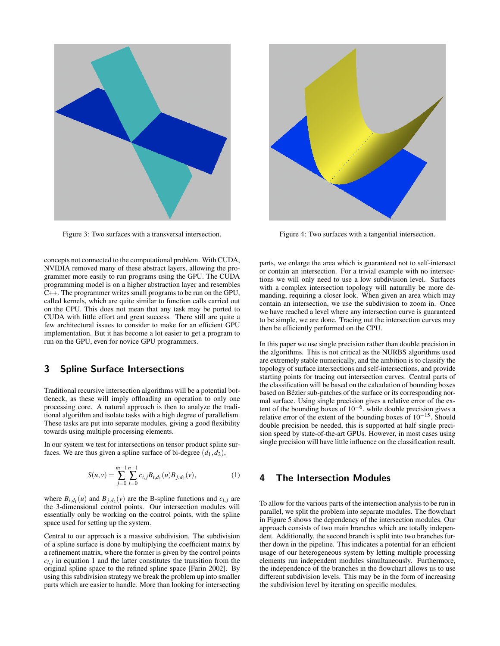

Figure 3: Two surfaces with a transversal intersection.

concepts not connected to the computational problem. With CUDA, NVIDIA removed many of these abstract layers, allowing the programmer more easily to run programs using the GPU. The CUDA programming model is on a higher abstraction layer and resembles C++. The programmer writes small programs to be run on the GPU, called kernels, which are quite similar to function calls carried out on the CPU. This does not mean that any task may be ported to CUDA with little effort and great success. There still are quite a few architectural issues to consider to make for an efficient GPU implementation. But it has become a lot easier to get a program to run on the GPU, even for novice GPU programmers.

### 3 Spline Surface Intersections

Traditional recursive intersection algorithms will be a potential bottleneck, as these will imply offloading an operation to only one processing core. A natural approach is then to analyze the traditional algorithm and isolate tasks with a high degree of parallelism. These tasks are put into separate modules, giving a good flexibility towards using multiple processing elements.

In our system we test for intersections on tensor product spline surfaces. We are thus given a spline surface of bi-degree  $(d_1, d_2)$ ,

$$
S(u,v) = \sum_{j=0}^{m-1} \sum_{i=0}^{n-1} c_{i,j} B_{i,d_1}(u) B_{j,d_2}(v),
$$
 (1)

where  $B_{i,d_1}(u)$  and  $B_{j,d_2}(v)$  are the B-spline functions and  $c_{i,j}$  are the 3-dimensional control points. Our intersection modules will essentially only be working on the control points, with the spline space used for setting up the system.

Central to our approach is a massive subdivision. The subdivision of a spline surface is done by multiplying the coefficient matrix by a refinement matrix, where the former is given by the control points  $c_{i,j}$  in equation 1 and the latter constitutes the transition from the original spline space to the refined spline space [Farin 2002]. By using this subdivision strategy we break the problem up into smaller parts which are easier to handle. More than looking for intersecting



Figure 4: Two surfaces with a tangential intersection.

parts, we enlarge the area which is guaranteed not to self-intersect or contain an intersection. For a trivial example with no intersections we will only need to use a low subdivision level. Surfaces with a complex intersection topology will naturally be more demanding, requiring a closer look. When given an area which may contain an intersection, we use the subdivision to zoom in. Once we have reached a level where any intersection curve is guaranteed to be simple, we are done. Tracing out the intersection curves may then be efficiently performed on the CPU.

In this paper we use single precision rather than double precision in the algorithms. This is not critical as the NURBS algorithms used are extremely stable numerically, and the ambition is to classify the topology of surface intersections and self-intersections, and provide starting points for tracing out intersection curves. Central parts of the classification will be based on the calculation of bounding boxes based on Bézier sub-patches of the surface or its corresponding normal surface. Using single precision gives a relative error of the extent of the bounding boxes of 10<sup>-6</sup>, while double precision gives a relative error of the extent of the bounding boxes of  $10^{-15}$ . Should double precision be needed, this is supported at half single precision speed by state-of-the-art GPUs. However, in most cases using single precision will have little influence on the classification result.

### 4 The Intersection Modules

To allow for the various parts of the intersection analysis to be run in parallel, we split the problem into separate modules. The flowchart in Figure 5 shows the dependency of the intersection modules. Our approach consists of two main branches which are totally independent. Additionally, the second branch is split into two branches further down in the pipeline. This indicates a potential for an efficient usage of our heterogeneous system by letting multiple processing elements run independent modules simultaneously. Furthermore, the independence of the branches in the flowchart allows us to use different subdivision levels. This may be in the form of increasing the subdivision level by iterating on specific modules.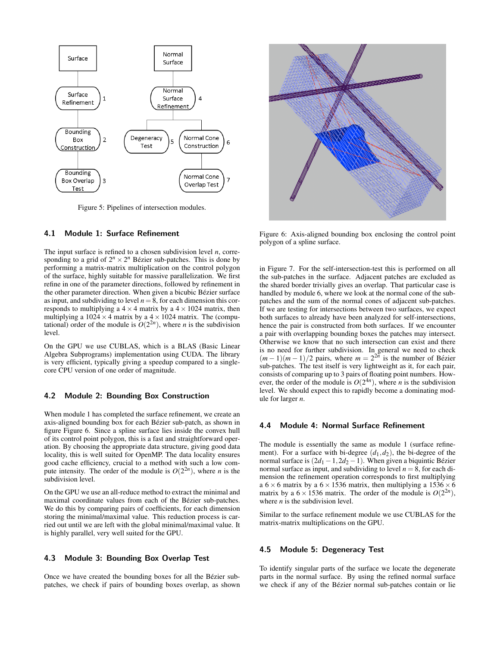

Figure 5: Pipelines of intersection modules.

### 4.1 Module 1: Surface Refinement

The input surface is refined to a chosen subdivision level *n*, corresponding to a grid of  $2^n \times 2^n$  Bézier sub-patches. This is done by performing a matrix-matrix multiplication on the control polygon of the surface, highly suitable for massive parallelization. We first refine in one of the parameter directions, followed by refinement in the other parameter direction. When given a bicubic Bézier surface as input, and subdividing to level  $n = 8$ , for each dimension this corresponds to multiplying a  $4 \times 4$  matrix by a  $4 \times 1024$  matrix, then multiplying a  $1024 \times 4$  matrix by a  $4 \times 1024$  matrix. The (computational) order of the module is  $O(2^{2n})$ , where *n* is the subdivision level.

On the GPU we use CUBLAS, which is a BLAS (Basic Linear Algebra Subprograms) implementation using CUDA. The library is very efficient, typically giving a speedup compared to a singlecore CPU version of one order of magnitude.

#### 4.2 Module 2: Bounding Box Construction

When module 1 has completed the surface refinement, we create an axis-aligned bounding box for each Bézier sub-patch, as shown in figure Figure 6. Since a spline surface lies inside the convex hull of its control point polygon, this is a fast and straightforward operation. By choosing the appropriate data structure, giving good data locality, this is well suited for OpenMP. The data locality ensures good cache efficiency, crucial to a method with such a low compute intensity. The order of the module is  $O(2^{2n})$ , where *n* is the subdivision level.

On the GPU we use an all-reduce method to extract the minimal and maximal coordinate values from each of the Bézier sub-patches. We do this by comparing pairs of coefficients, for each dimension storing the minimal/maximal value. This reduction process is carried out until we are left with the global minimal/maximal value. It is highly parallel, very well suited for the GPU.

#### 4.3 Module 3: Bounding Box Overlap Test

Once we have created the bounding boxes for all the Bézier subpatches, we check if pairs of bounding boxes overlap, as shown



Figure 6: Axis-aligned bounding box enclosing the control point polygon of a spline surface.

in Figure 7. For the self-intersection-test this is performed on all the sub-patches in the surface. Adjacent patches are excluded as the shared border trivially gives an overlap. That particular case is handled by module 6, where we look at the normal cone of the subpatches and the sum of the normal cones of adjacent sub-patches. If we are testing for intersections between two surfaces, we expect both surfaces to already have been analyzed for self-intersections, hence the pair is constructed from both surfaces. If we encounter a pair with overlapping bounding boxes the patches may intersect. Otherwise we know that no such intersection can exist and there is no need for further subdivision. In general we need to check  $(m-1)(m-1)/2$  pairs, where  $m = 2^{2n}$  is the number of Bézier sub-patches. The test itself is very lightweight as it, for each pair, consists of comparing up to 3 pairs of floating point numbers. However, the order of the module is  $O(2^{4n})$ , where *n* is the subdivision level. We should expect this to rapidly become a dominating module for larger *n*.

#### 4.4 Module 4: Normal Surface Refinement

The module is essentially the same as module 1 (surface refinement). For a surface with bi-degree  $(d_1, d_2)$ , the bi-degree of the normal surface is  $(2d_1 - 1, 2d_2 - 1)$ . When given a biquintic Bézier normal surface as input, and subdividing to level  $n = 8$ , for each dimension the refinement operation corresponds to first multiplying a  $6 \times 6$  matrix by a  $6 \times 1536$  matrix, then multiplying a  $1536 \times 6$ matrix by a  $6 \times 1536$  matrix. The order of the module is  $O(2^{2n})$ , where *n* is the subdivision level.

Similar to the surface refinement module we use CUBLAS for the matrix-matrix multiplications on the GPU.

#### 4.5 Module 5: Degeneracy Test

To identify singular parts of the surface we locate the degenerate parts in the normal surface. By using the refined normal surface we check if any of the Bézier normal sub-patches contain or lie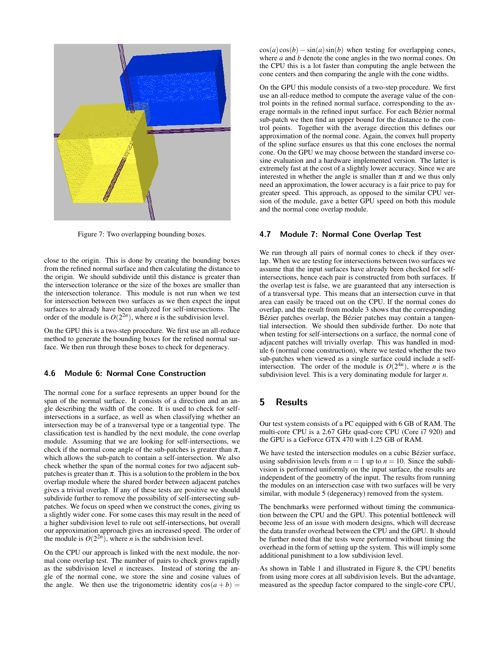

Figure 7: Two overlapping bounding boxes.

close to the origin. This is done by creating the bounding boxes from the refined normal surface and then calculating the distance to the origin. We should subdivide until this distance is greater than the intersection tolerance or the size of the boxes are smaller than the intersection tolerance. This module is not run when we test for intersection between two surfaces as we then expect the input surfaces to already have been analyzed for self-intersections. The order of the module is  $O(2^{2n})$ , where *n* is the subdivision level.

On the GPU this is a two-step procedure. We first use an all-reduce method to generate the bounding boxes for the refined normal surface. We then run through these boxes to check for degeneracy.

### 4.6 Module 6: Normal Cone Construction

The normal cone for a surface represents an upper bound for the span of the normal surface. It consists of a direction and an angle describing the width of the cone. It is used to check for selfintersections in a surface, as well as when classifying whether an intersection may be of a transversal type or a tangential type. The classification test is handled by the next module, the cone overlap module. Assuming that we are looking for self-intersections, we check if the normal cone angle of the sub-patches is greater than  $\pi$ , which allows the sub-patch to contain a self-intersection. We also check whether the span of the normal cones for two adjacent subpatches is greater than  $\pi$ . This is a solution to the problem in the box overlap module where the shared border between adjacent patches gives a trivial overlap. If any of these tests are positive we should subdivide further to remove the possibility of self-intersecting subpatches. We focus on speed when we construct the cones, giving us a slightly wider cone. For some cases this may result in the need of a higher subdivision level to rule out self-intersections, but overall our approximation approach gives an increased speed. The order of the module is  $O(2^{2n})$ , where *n* is the subdivision level.

On the CPU our approach is linked with the next module, the normal cone overlap test. The number of pairs to check grows rapidly as the subdivision level *n* increases. Instead of storing the angle of the normal cone, we store the sine and cosine values of the angle. We then use the trigonometric identity  $cos(a + b) =$   $cos(a) cos(b) - sin(a) sin(b)$  when testing for overlapping cones, where *a* and *b* denote the cone angles in the two normal cones. On the CPU this is a lot faster than computing the angle between the cone centers and then comparing the angle with the cone widths.

On the GPU this module consists of a two-step procedure. We first use an all-reduce method to compute the average value of the control points in the refined normal surface, corresponding to the average normals in the refined input surface. For each Bézier normal sub-patch we then find an upper bound for the distance to the control points. Together with the average direction this defines our approximation of the normal cone. Again, the convex hull property of the spline surface ensures us that this cone encloses the normal cone. On the GPU we may choose between the standard inverse cosine evaluation and a hardware implemented version. The latter is extremely fast at the cost of a slightly lower accuracy. Since we are interested in whether the angle is smaller than  $\pi$  and we thus only need an approximation, the lower accuracy is a fair price to pay for greater speed. This approach, as opposed to the similar CPU version of the module, gave a better GPU speed on both this module and the normal cone overlap module.

#### 4.7 Module 7: Normal Cone Overlap Test

We run through all pairs of normal cones to check if they overlap. When we are testing for intersections between two surfaces we assume that the input surfaces have already been checked for selfintersections, hence each pair is constructed from both surfaces. If the overlap test is false, we are guaranteed that any intersection is of a transversal type. This means that an intersection curve in that area can easily be traced out on the CPU. If the normal cones do overlap, and the result from module 3 shows that the corresponding Bézier patches overlap, the Bézier patches may contain a tangential intersection. We should then subdivide further. Do note that when testing for self-intersections on a surface, the normal cone of adjacent patches will trivially overlap. This was handled in module 6 (normal cone construction), where we tested whether the two sub-patches when viewed as a single surface could include a selfintersection. The order of the module is  $O(2^{4n})$ , where *n* is the subdivision level. This is a very dominating module for larger *n*.

### 5 Results

Our test system consists of a PC equipped with 6 GB of RAM. The multi-core CPU is a 2.67 GHz quad-core CPU (Core i7 920) and the GPU is a GeForce GTX 470 with 1.25 GB of RAM.

We have tested the intersection modules on a cubic Bézier surface, using subdivision levels from  $n = 1$  up to  $n = 10$ . Since the subdivision is performed uniformly on the input surface, the results are independent of the geometry of the input. The results from running the modules on an intersection case with two surfaces will be very similar, with module 5 (degeneracy) removed from the system.

The benchmarks were performed without timing the communication between the CPU and the GPU. This potential bottleneck will become less of an issue with modern designs, which will decrease the data transfer overhead between the CPU and the GPU. It should be further noted that the tests were performed without timing the overhead in the form of setting up the system. This will imply some additional punishment to a low subdivision level.

As shown in Table 1 and illustrated in Figure 8, the CPU benefits from using more cores at all subdivision levels. But the advantage, measured as the speedup factor compared to the single-core CPU,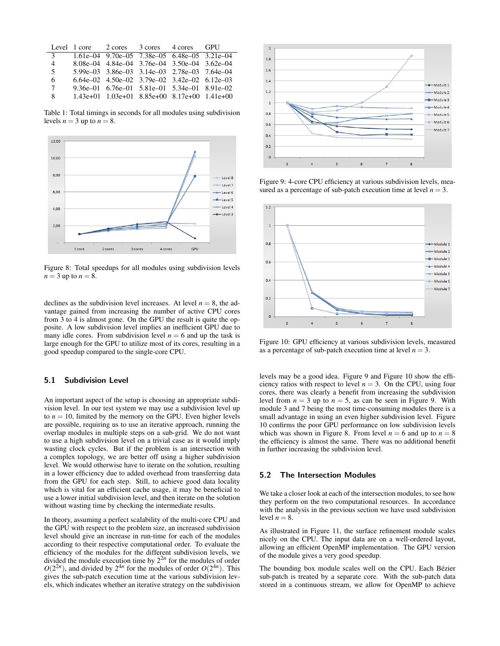|               |  | Level 1 core 2 cores 3 cores 4 cores GPU               |  |
|---------------|--|--------------------------------------------------------|--|
| $\mathcal{E}$ |  | $1.61e-04$ 9.70e-05 7.38e-05 6.48e-05 3.21e-04         |  |
| $4 \quad$     |  | $8.08e-04$ $4.84e-04$ $3.76e-04$ $3.50e-04$ $3.62e-04$ |  |
| 5             |  | 5.99e-03 3.86e-03 3.14e-03 2.78e-03 7.64e-04           |  |
| 6.            |  | $6.64e-02$ $4.50e-02$ $3.79e-02$ $3.42e-02$ $6.12e-03$ |  |
| 7             |  | $9.36e-01$ $6.76e-01$ $5.81e-01$ $5.34e-01$ $8.91e-02$ |  |
| -8            |  | $1.43e+01$ $1.03e+01$ $8.85e+00$ $8.17e+00$ $1.41e+00$ |  |

Table 1: Total timings in seconds for all modules using subdivision levels  $n = 3$  up to  $n = 8$ .



Figure 8: Total speedups for all modules using subdivision levels  $n = 3$  up to  $n = 8$ .

declines as the subdivision level increases. At level  $n = 8$ , the advantage gained from increasing the number of active CPU cores from 3 to 4 is almost gone. On the GPU the result is quite the opposite. A low subdivision level implies an inefficient GPU due to many idle cores. From subdivision level  $n = 6$  and up the task is large enough for the GPU to utilize most of its cores, resulting in a good speedup compared to the single-core CPU.

#### 5.1 Subdivision Level

An important aspect of the setup is choosing an appropriate subdivision level. In our test system we may use a subdivision level up to  $n = 10$ , limited by the memory on the GPU. Even higher levels are possible, requiring us to use an iterative approach, running the overlap modules in multiple steps on a sub-grid. We do not want to use a high subdivision level on a trivial case as it would imply wasting clock cycles. But if the problem is an intersection with a complex topology, we are better off using a higher subdivision level. We would otherwise have to iterate on the solution, resulting in a lower efficiency due to added overhead from transferring data from the GPU for each step. Still, to achieve good data locality which is vital for an efficient cache usage, it may be beneficial to use a lower initial subdivision level, and then iterate on the solution without wasting time by checking the intermediate results.

In theory, assuming a perfect scalability of the multi-core CPU and the GPU with respect to the problem size, an increased subdivision level should give an increase in run-time for each of the modules according to their respective computational order. To evaluate the efficiency of the modules for the different subdivision levels, we divided the module execution time by  $2^{2n}$  for the modules of order  $O(2^{2n})$ , and divided by  $2^{4n}$  for the modules of order  $O(2^{4n})$ . This gives the sub-patch execution time at the various subdivision levels, which indicates whether an iterative strategy on the subdivision



Figure 9: 4-core CPU efficiency at various subdivision levels, measured as a percentage of sub-patch execution time at level  $n = 3$ .



Figure 10: GPU efficiency at various subdivision levels, measured as a percentage of sub-patch execution time at level  $n = 3$ .

levels may be a good idea. Figure 9 and Figure 10 show the efficiency ratios with respect to level  $n = 3$ . On the CPU, using four cores, there was clearly a benefit from increasing the subdivision level from  $n = 3$  up to  $n = 5$ , as can be seen in Figure 9. With module 3 and 7 being the most time-consuming modules there is a small advantage in using an even higher subdivision level. Figure 10 confirms the poor GPU performance on low subdivision levels which was shown in Figure 8. From level  $n = 6$  and up to  $n = 8$ the efficiency is almost the same. There was no additional benefit in further increasing the subdivision level.

#### 5.2 The Intersection Modules

We take a closer look at each of the intersection modules, to see how they perform on the two computational resources. In accordance with the analysis in the previous section we have used subdivision level  $n = 8$ .

As illustrated in Figure 11, the surface refinement module scales nicely on the CPU. The input data are on a well-ordered layout, allowing an efficient OpenMP implementation. The GPU version of the module gives a very good speedup.

The bounding box module scales well on the CPU. Each Bézier sub-patch is treated by a separate core. With the sub-patch data stored in a continuous stream, we allow for OpenMP to achieve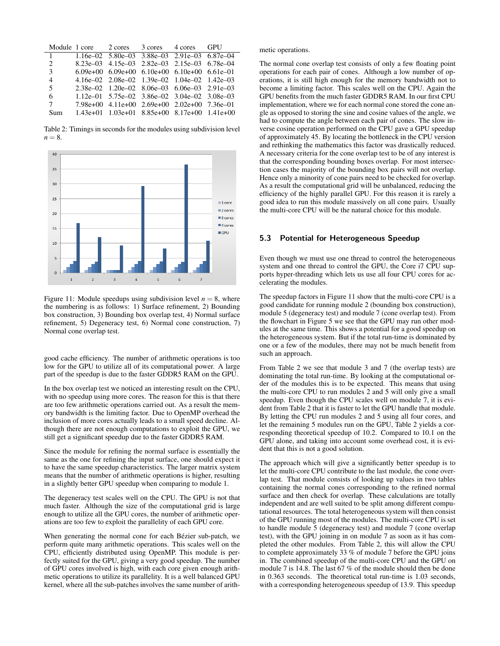|                 | Module 1 core 2 cores 3 cores 4 cores GPU |                                                        |  |  |
|-----------------|-------------------------------------------|--------------------------------------------------------|--|--|
| $\mathbf{1}$    |                                           | $1.16e-02$ $5.80e-03$ $3.88e-03$ $2.91e-03$ $6.87e-04$ |  |  |
| 2               |                                           | 8.23e-03 4.15e-03 2.82e-03 2.15e-03 6.78e-04           |  |  |
| -3              |                                           | $6.09e+00$ $6.09e+00$ $6.10e+00$ $6.10e+00$ $6.61e-01$ |  |  |
| 4               |                                           | $4.16e-02$ $2.08e-02$ $1.39e-02$ $1.04e-02$ $1.42e-03$ |  |  |
| 5               |                                           | $2.38e-02$ 1.20e-02 8.06e-03 6.06e-03 2.91e-03         |  |  |
| 6               |                                           | $1.12e-01$ $5.75e-02$ $3.86e-02$ $3.04e-02$ $3.08e-03$ |  |  |
| $7\overline{ }$ |                                           | 7.98e+00 4.11e+00 2.69e+00 2.02e+00 7.36e-01           |  |  |
| Sum             |                                           | $1.43e+01$ $1.03e+01$ $8.85e+00$ $8.17e+00$ $1.41e+00$ |  |  |

Table 2: Timings in seconds for the modules using subdivision level  $n = 8$ .



Figure 11: Module speedups using subdivision level  $n = 8$ , where the numbering is as follows: 1) Surface refinement, 2) Bounding box construction, 3) Bounding box overlap test, 4) Normal surface refinement, 5) Degeneracy test, 6) Normal cone construction, 7) Normal cone overlap test.

good cache efficiency. The number of arithmetic operations is too low for the GPU to utilize all of its computational power. A large part of the speedup is due to the faster GDDR5 RAM on the GPU.

In the box overlap test we noticed an interesting result on the CPU, with no speedup using more cores. The reason for this is that there are too few arithmetic operations carried out. As a result the memory bandwidth is the limiting factor. Due to OpenMP overhead the inclusion of more cores actually leads to a small speed decline. Although there are not enough computations to exploit the GPU, we still get a significant speedup due to the faster GDDR5 RAM.

Since the module for refining the normal surface is essentially the same as the one for refining the input surface, one should expect it to have the same speedup characteristics. The larger matrix system means that the number of arithmetic operations is higher, resulting in a slightly better GPU speedup when comparing to module 1.

The degeneracy test scales well on the CPU. The GPU is not that much faster. Although the size of the computational grid is large enough to utilize all the GPU cores, the number of arithmetic operations are too few to exploit the parallelity of each GPU core.

When generating the normal cone for each Bézier sub-patch, we perform quite many arithmetic operations. This scales well on the CPU, efficiently distributed using OpenMP. This module is perfectly suited for the GPU, giving a very good speedup. The number of GPU cores involved is high, with each core given enough arithmetic operations to utilize its parallelity. It is a well balanced GPU kernel, where all the sub-patches involves the same number of arithmetic operations.

The normal cone overlap test consists of only a few floating point operations for each pair of cones. Although a low number of operations, it is still high enough for the memory bandwidth not to become a limiting factor. This scales well on the CPU. Again the GPU benefits from the much faster GDDR5 RAM. In our first CPU implementation, where we for each normal cone stored the cone angle as opposed to storing the sine and cosine values of the angle, we had to compute the angle between each pair of cones. The slow inverse cosine operation performed on the CPU gave a GPU speedup of approximately 45. By locating the bottleneck in the CPU version and rethinking the mathematics this factor was drastically reduced. A necessary criteria for the cone overlap test to be of any interest is that the corresponding bounding boxes overlap. For most intersection cases the majority of the bounding box pairs will not overlap. Hence only a minority of cone pairs need to be checked for overlap. As a result the computational grid will be unbalanced, reducing the efficiency of the highly parallel GPU. For this reason it is rarely a good idea to run this module massively on all cone pairs. Usually the multi-core CPU will be the natural choice for this module.

#### 5.3 Potential for Heterogeneous Speedup

Even though we must use one thread to control the heterogeneous system and one thread to control the GPU, the Core i7 CPU supports hyper-threading which lets us use all four CPU cores for accelerating the modules.

The speedup factors in Figure 11 show that the multi-core CPU is a good candidate for running module 2 (bounding box construction), module 5 (degeneracy test) and module 7 (cone overlap test). From the flowchart in Figure 5 we see that the GPU may run other modules at the same time. This shows a potential for a good speedup on the heterogeneous system. But if the total run-time is dominated by one or a few of the modules, there may not be much benefit from such an approach.

From Table 2 we see that module 3 and 7 (the overlap tests) are dominating the total run-time. By looking at the computational order of the modules this is to be expected. This means that using the multi-core CPU to run modules 2 and 5 will only give a small speedup. Even though the CPU scales well on module 7, it is evident from Table 2 that it is faster to let the GPU handle that module. By letting the CPU run modules 2 and 5 using all four cores, and let the remaining 5 modules run on the GPU, Table 2 yields a corresponding theoretical speedup of 10.2. Compared to 10.1 on the GPU alone, and taking into account some overhead cost, it is evident that this is not a good solution.

The approach which will give a significantly better speedup is to let the multi-core CPU contribute to the last module, the cone overlap test. That module consists of looking up values in two tables containing the normal cones corresponding to the refined normal surface and then check for overlap. These calculations are totally independent and are well suited to be split among different computational resources. The total heterogeneous system will then consist of the GPU running most of the modules. The multi-core CPU is set to handle module 5 (degeneracy test) and module 7 (cone overlap test), with the GPU joining in on module 7 as soon as it has completed the other modules. From Table 2, this will allow the CPU to complete approximately 33 % of module 7 before the GPU joins in. The combined speedup of the multi-core CPU and the GPU on module 7 is 14.8. The last 67 % of the module should then be done in 0.363 seconds. The theoretical total run-time is 1.03 seconds, with a corresponding heterogeneous speedup of 13.9. This speedup